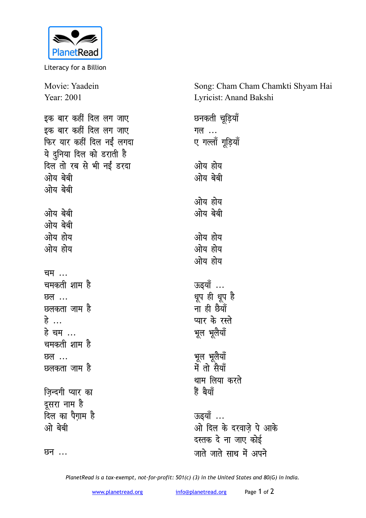

Literacy for a Billion

Movie: Yaadein Year: 2001 इक बार कहीं दिल लग जाए इक बार कहीं दिल लग जाए फिर यार कहीं दिल नईं लगदा ये दुनिया दिल को डराती ह<del>ै</del> दिल तो रब से भी नईं डरदा <u>ओय बेबी</u> <u>with and</u> <u>ओय बेबी</u> <u>ओय बेबी</u> <u>ओय होय</u> <u>ओय होय</u> <u>चम</u> ... चमकती शाम ह<del>े</del> <u> छल ...</u> <u>प्रुलकता जाम है</u> हे<br>... हे चम ... <u>चमकती शाम है</u> <u> छल ...</u> <u>प्रुलकता जाम है</u> **ज़िन्दगी** प्यार का दूसरा नाम है <u>दिल का पैगाम है</u> <u>ओ</u> बेबी <u> छन</u> ... जाते जाते साथ में अपने

Song: Cham Cham Chamkti Shyam Hai Lyricist: Anand Bakshi

**छनकती चूडियाँ गल** ... ए गल्लॉ गूड़ियाँ ओय होय <u>ओय बेबी</u> ओय होय <u>ओय बेबी</u> ओय होय ओय होय <u>ओय होय</u> ऊइयाँ ... धूप ही धूप है <u>सां ही छैयाँ</u> **प्यार के रस्ते** भूल भूलेयाँ भूल भूलैया<u>ँ</u> में तो सैय<mark>ा</mark>ँ थाम लिया करते <u>हैं बैयाँ</u> ऊइयॉ ... <u>ओ दिल के दरवाजे पे आके</u> दस्तक दे ना जाए कोई

*PlanetRead is a tax-exempt, not-for-profit: 501(c) (3) in the United States and 80(G) in India.*